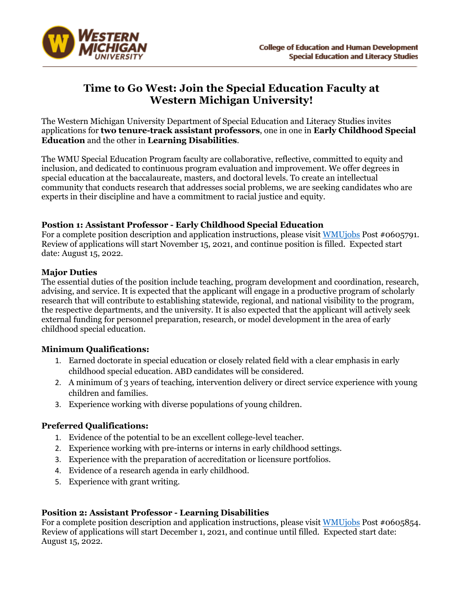

# **Time to Go West: Join the Special Education Faculty at Western Michigan University!**

The Western Michigan University Department of Special Education and Literacy Studies invites applications for **two tenure-track assistant professors**, one in one in **Early Childhood Special Education** and the other in **Learning Disabilities**.

The WMU Special Education Program faculty are collaborative, reflective, committed to equity and inclusion, and dedicated to continuous program evaluation and improvement. We offer degrees in special education at the baccalaureate, masters, and doctoral levels. To create an intellectual community that conducts research that addresses social problems, we are seeking candidates who are experts in their discipline and have a commitment to racial justice and equity.

#### **Postion 1: Assistant Professor - Early Childhood Special Education**

For a complete position description and application instructions, please visit WMU jobs Post #0605791. Review of applications will start November 15, 2021, and continue position is filled. Expected start date: August 15, 2022.

#### **Major Duties**

The essential duties of the position include teaching, program development and coordination, research, advising, and service. It is expected that the applicant will engage in a productive program of scholarly research that will contribute to establishing statewide, regional, and national visibility to the program, the respective departments, and the university. It is also expected that the applicant will actively seek external funding for personnel preparation, research, or model development in the area of early childhood special education.

#### **Minimum Qualifications:**

- 1. Earned doctorate in special education or closely related field with a clear emphasis in early childhood special education. ABD candidates will be considered.
- 2. A minimum of 3 years of teaching, intervention delivery or direct service experience with young children and families.
- 3. Experience working with diverse populations of young children.

#### **Preferred Qualifications:**

- 1. Evidence of the potential to be an excellent college-level teacher.
- 2. Experience working with pre-interns or interns in early childhood settings.
- 3. Experience with the preparation of accreditation or licensure portfolios.
- 4. Evidence of a research agenda in early childhood.
- 5. Experience with grant writing.

## **Position 2: Assistant Professor - Learning Disabilities**

For a complete position description and application instructions, please visit WMUjobs Post #0605854. Review of applications will start December 1, 2021, and continue until filled. Expected start date: August 15, 2022.